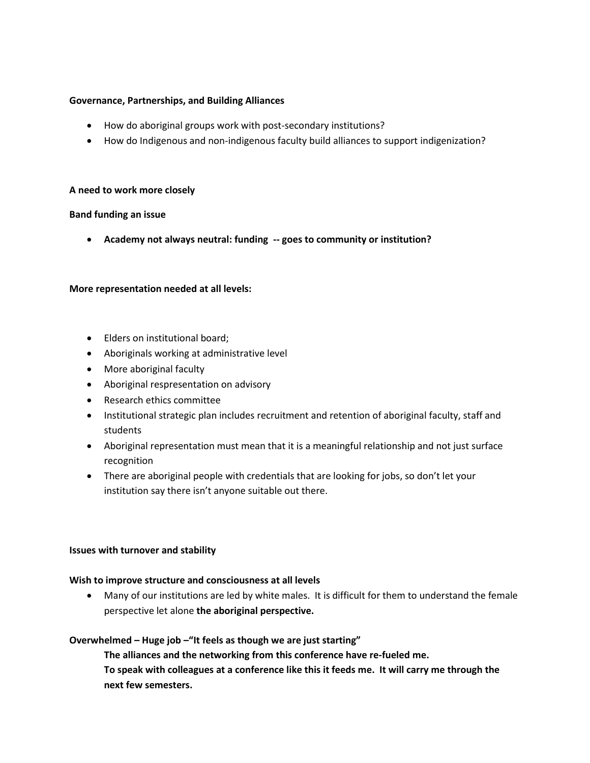#### **Governance, Partnerships, and Building Alliances**

- How do aboriginal groups work with post-secondary institutions?
- How do Indigenous and non-indigenous faculty build alliances to support indigenization?

#### **A need to work more closely**

#### **Band funding an issue**

**Academy not always neutral: funding -- goes to community or institution?**

#### **More representation needed at all levels:**

- Elders on institutional board;
- Aboriginals working at administrative level
- More aboriginal faculty
- Aboriginal respresentation on advisory
- Research ethics committee
- Institutional strategic plan includes recruitment and retention of aboriginal faculty, staff and students
- Aboriginal representation must mean that it is a meaningful relationship and not just surface recognition
- There are aboriginal people with credentials that are looking for jobs, so don't let your institution say there isn't anyone suitable out there.

#### **Issues with turnover and stability**

#### **Wish to improve structure and consciousness at all levels**

 Many of our institutions are led by white males. It is difficult for them to understand the female perspective let alone **the aboriginal perspective.**

#### **Overwhelmed – Huge job –"It feels as though we are just starting"**

**The alliances and the networking from this conference have re-fueled me. To speak with colleagues at a conference like this it feeds me. It will carry me through the next few semesters.**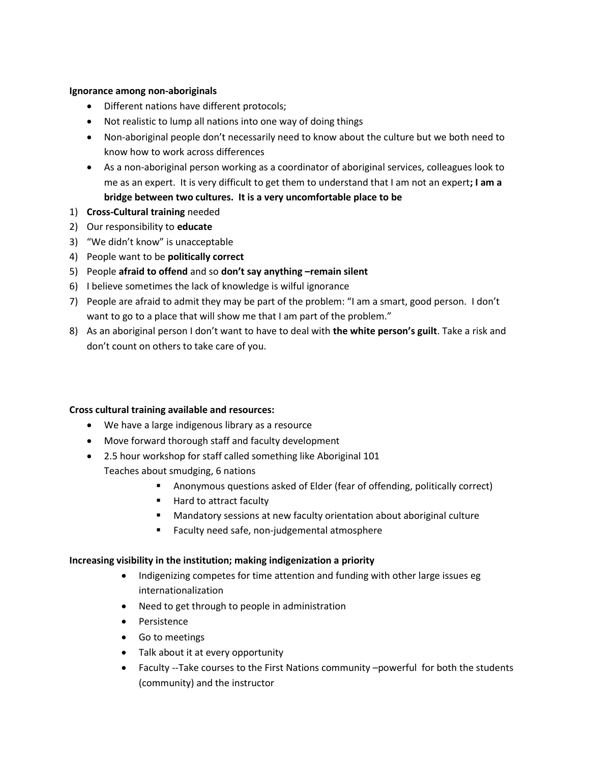### **Ignorance among non-aboriginals**

- Different nations have different protocols;
- Not realistic to lump all nations into one way of doing things
- Non-aboriginal people don't necessarily need to know about the culture but we both need to know how to work across differences
- As a non-aboriginal person working as a coordinator of aboriginal services, colleagues look to me as an expert. It is very difficult to get them to understand that I am not an expert**; I am a bridge between two cultures. It is a very uncomfortable place to be**
- 1) **Cross-Cultural training** needed
- 2) Our responsibility to **educate**
- 3) "We didn't know" is unacceptable
- 4) People want to be **politically correct**
- 5) People **afraid to offend** and so **don't say anything –remain silent**
- 6) I believe sometimes the lack of knowledge is wilful ignorance
- 7) People are afraid to admit they may be part of the problem: "I am a smart, good person. I don't want to go to a place that will show me that I am part of the problem."
- 8) As an aboriginal person I don't want to have to deal with **the white person's guilt**. Take a risk and don't count on others to take care of you.

### **Cross cultural training available and resources:**

- We have a large indigenous library as a resource
- Move forward thorough staff and faculty development
- 2.5 hour workshop for staff called something like Aboriginal 101 Teaches about smudging, 6 nations
	- Anonymous questions asked of Elder (fear of offending, politically correct)
	- Hard to attract faculty
	- Mandatory sessions at new faculty orientation about aboriginal culture
	- Faculty need safe, non-judgemental atmosphere

### **Increasing visibility in the institution; making indigenization a priority**

- Indigenizing competes for time attention and funding with other large issues eg internationalization
- Need to get through to people in administration
- Persistence
- Go to meetings
- Talk about it at every opportunity
- Faculty --Take courses to the First Nations community -powerful for both the students (community) and the instructor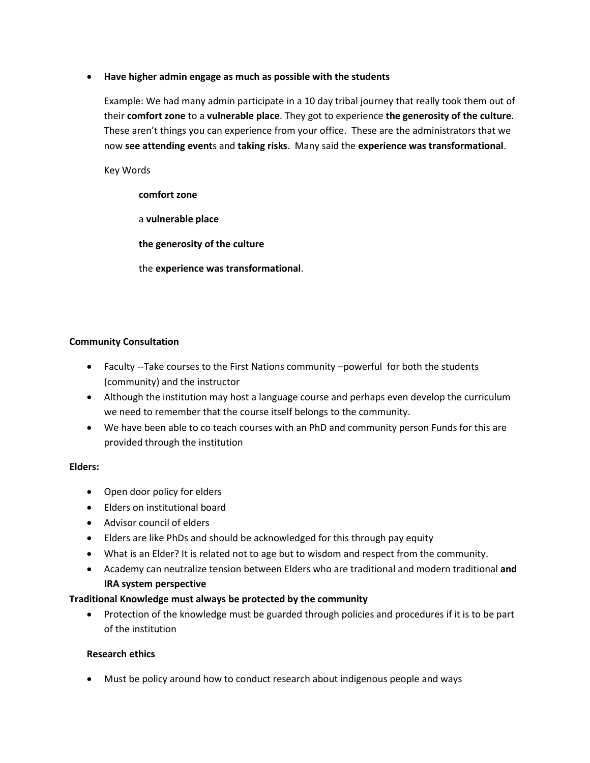## **Have higher admin engage as much as possible with the students**

Example: We had many admin participate in a 10 day tribal journey that really took them out of their **comfort zone** to a **vulnerable place**. They got to experience **the generosity of the culture**. These aren't things you can experience from your office. These are the administrators that we now **see attending event**s and **taking risks**. Many said the **experience was transformational**.

Key Words

### **comfort zone**

a **vulnerable place**

**the generosity of the culture**

the **experience was transformational**.

## **Community Consultation**

- Faculty --Take courses to the First Nations community –powerful for both the students (community) and the instructor
- Although the institution may host a language course and perhaps even develop the curriculum we need to remember that the course itself belongs to the community.
- We have been able to co teach courses with an PhD and community person Funds for this are provided through the institution

### **Elders:**

- Open door policy for elders
- Elders on institutional board
- Advisor council of elders
- Elders are like PhDs and should be acknowledged for this through pay equity
- What is an Elder? It is related not to age but to wisdom and respect from the community.
- Academy can neutralize tension between Elders who are traditional and modern traditional **and IRA system perspective**

# **Traditional Knowledge must always be protected by the community**

• Protection of the knowledge must be guarded through policies and procedures if it is to be part of the institution

### **Research ethics**

Must be policy around how to conduct research about indigenous people and ways